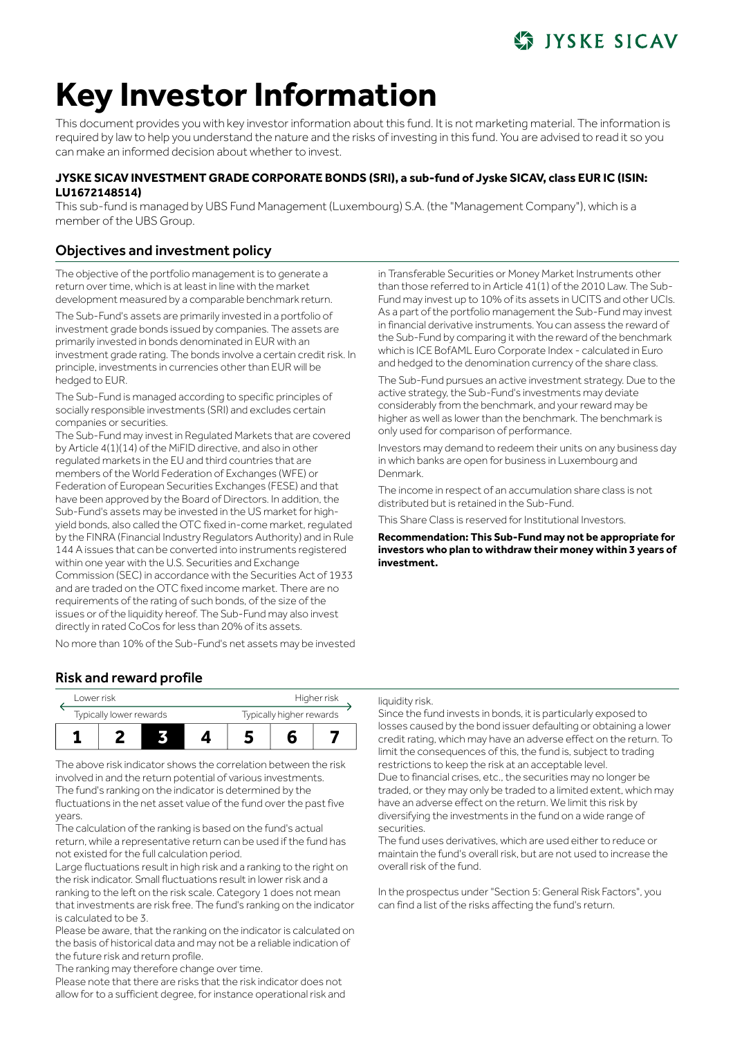# **SS IYSKE SICAV**

# **Key Investor Information**

This document provides you with key investor information about this fund. It is not marketing material. The information is required by law to help you understand the nature and the risks of investing in this fund. You are advised to read it so you can make an informed decision about whether to invest.

## **JYSKE SICAV INVESTMENT GRADE CORPORATE BONDS (SRI), a sub-fund of Jyske SICAV, class EUR IC (ISIN: LU1672148514)**

This sub-fund is managed by UBS Fund Management (Luxembourg) S.A. (the "Management Company"), which is a member of the UBS Group.

# Objectives and investment policy

The objective of the portfolio management is to generate a return over time, which is at least in line with the market development measured by a comparable benchmark return.

The Sub-Fund's assets are primarily invested in a portfolio of investment grade bonds issued by companies. The assets are primarily invested in bonds denominated in EUR with an investment grade rating. The bonds involve a certain credit risk. In principle, investments in currencies other than EUR will be hedged to EUR.

The Sub-Fund is managed according to specific principles of socially responsible investments (SRI) and excludes certain companies or securities.

The Sub-Fund may invest in Regulated Markets that are covered by Article 4(1)(14) of the MiFID directive, and also in other regulated markets in the EU and third countries that are members of the World Federation of Exchanges (WFE) or Federation of European Securities Exchanges (FESE) and that have been approved by the Board of Directors. In addition, the Sub-Fund's assets may be invested in the US market for highyield bonds, also called the OTC fixed in-come market, regulated by the FINRA (Financial Industry Regulators Authority) and in Rule 144 A issues that can be converted into instruments registered within one year with the U.S. Securities and Exchange Commission (SEC) in accordance with the Securities Act of 1933 and are traded on the OTC fixed income market. There are no requirements of the rating of such bonds, of the size of the issues or of the liquidity hereof. The Sub-Fund may also invest directly in rated CoCos for less than 20% of its assets.

No more than 10% of the Sub-Fund's net assets may be invested

in Transferable Securities or Money Market Instruments other than those referred to in Article 41(1) of the 2010 Law. The Sub-Fund may invest up to 10% of its assets in UCITS and other UCIs. As a part of the portfolio management the Sub-Fund may invest in financial derivative instruments. You can assess the reward of the Sub-Fund by comparing it with the reward of the benchmark which is ICE BofAML Euro Corporate Index - calculated in Euro and hedged to the denomination currency of the share class.

The Sub-Fund pursues an active investment strategy. Due to the active strategy, the Sub-Fund's investments may deviate considerably from the benchmark, and your reward may be higher as well as lower than the benchmark. The benchmark is only used for comparison of performance.

Investors may demand to redeem their units on any business day in which banks are open for business in Luxembourg and Denmark.

The income in respect of an accumulation share class is not distributed but is retained in the Sub-Fund.

This Share Class is reserved for Institutional Investors.

**Recommendation: This Sub-Fund may not be appropriate for investors who plan to withdraw their money within 3 years of investment.**

# Risk and reward profile

|  | Lower risk              |  |  |                          | Higher risk |  |  |  |
|--|-------------------------|--|--|--------------------------|-------------|--|--|--|
|  | Typically lower rewards |  |  | Typically higher rewards |             |  |  |  |
|  |                         |  |  |                          |             |  |  |  |

The above risk indicator shows the correlation between the risk involved in and the return potential of various investments. The fund's ranking on the indicator is determined by the fluctuations in the net asset value of the fund over the past five years.

The calculation of the ranking is based on the fund's actual return, while a representative return can be used if the fund has not existed for the full calculation period.

Large fluctuations result in high risk and a ranking to the right on the risk indicator. Small fluctuations result in lower risk and a ranking to the left on the risk scale. Category 1 does not mean that investments are risk free. The fund's ranking on the indicator is calculated to be 3.

Please be aware, that the ranking on the indicator is calculated on the basis of historical data and may not be a reliable indication of the future risk and return profile.

The ranking may therefore change over time.

Please note that there are risks that the risk indicator does not allow for to a sufficient degree, for instance operational risk and

#### liquidity risk.

Since the fund invests in bonds, it is particularly exposed to losses caused by the bond issuer defaulting or obtaining a lower credit rating, which may have an adverse effect on the return. To limit the consequences of this, the fund is, subject to trading restrictions to keep the risk at an acceptable level. Due to financial crises, etc., the securities may no longer be traded, or they may only be traded to a limited extent, which may have an adverse effect on the return. We limit this risk by diversifying the investments in the fund on a wide range of securities.

The fund uses derivatives, which are used either to reduce or maintain the fund's overall risk, but are not used to increase the overall risk of the fund.

In the prospectus under "Section 5: General Risk Factors", you can find a list of the risks affecting the fund's return.